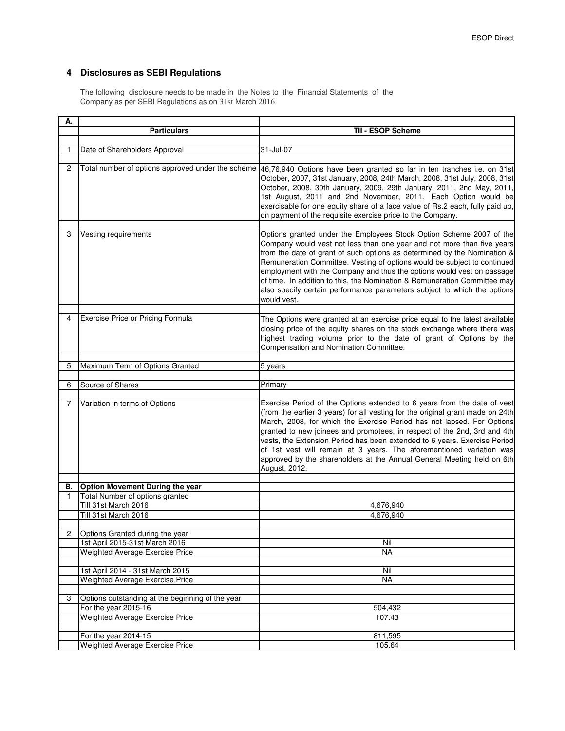## **4 Disclosures as SEBI Regulations**

The following disclosure needs to be made in the Notes to the Financial Statements of the Company as per SEBI Regulations as on 31st March 2016

| А.             |                                                                    |                                                                                                                                                                                                                                                                                                                                                                                                                                                                                                                                                                  |
|----------------|--------------------------------------------------------------------|------------------------------------------------------------------------------------------------------------------------------------------------------------------------------------------------------------------------------------------------------------------------------------------------------------------------------------------------------------------------------------------------------------------------------------------------------------------------------------------------------------------------------------------------------------------|
|                | <b>Particulars</b>                                                 | TII - ESOP Scheme                                                                                                                                                                                                                                                                                                                                                                                                                                                                                                                                                |
|                |                                                                    |                                                                                                                                                                                                                                                                                                                                                                                                                                                                                                                                                                  |
| 1              | Date of Shareholders Approval                                      | 31-Jul-07                                                                                                                                                                                                                                                                                                                                                                                                                                                                                                                                                        |
|                |                                                                    |                                                                                                                                                                                                                                                                                                                                                                                                                                                                                                                                                                  |
| $\overline{c}$ | Total number of options approved under the scheme                  | 46,76,940 Options have been granted so far in ten tranches i.e. on 31st<br>October, 2007, 31st January, 2008, 24th March, 2008, 31st July, 2008, 31st<br>October, 2008, 30th January, 2009, 29th January, 2011, 2nd May, 2011,<br>1st August, 2011 and 2nd November, 2011. Each Option would be<br>exercisable for one equity share of a face value of Rs.2 each, fully paid up,<br>on payment of the requisite exercise price to the Company.                                                                                                                   |
| 3              | Vesting requirements                                               | Options granted under the Employees Stock Option Scheme 2007 of the                                                                                                                                                                                                                                                                                                                                                                                                                                                                                              |
|                |                                                                    | Company would vest not less than one year and not more than five years<br>from the date of grant of such options as determined by the Nomination &<br>Remuneration Committee. Vesting of options would be subject to continued<br>employment with the Company and thus the options would vest on passage<br>of time. In addition to this, the Nomination & Remuneration Committee may<br>also specify certain performance parameters subject to which the options<br>would vest.                                                                                 |
|                |                                                                    |                                                                                                                                                                                                                                                                                                                                                                                                                                                                                                                                                                  |
| 4              | Exercise Price or Pricing Formula                                  | The Options were granted at an exercise price equal to the latest available<br>closing price of the equity shares on the stock exchange where there was<br>highest trading volume prior to the date of grant of Options by the<br>Compensation and Nomination Committee.                                                                                                                                                                                                                                                                                         |
| 5              | Maximum Term of Options Granted                                    | 5 years                                                                                                                                                                                                                                                                                                                                                                                                                                                                                                                                                          |
|                |                                                                    |                                                                                                                                                                                                                                                                                                                                                                                                                                                                                                                                                                  |
| 6              | Source of Shares                                                   | Primary                                                                                                                                                                                                                                                                                                                                                                                                                                                                                                                                                          |
|                |                                                                    |                                                                                                                                                                                                                                                                                                                                                                                                                                                                                                                                                                  |
| 7              | Variation in terms of Options                                      | Exercise Period of the Options extended to 6 years from the date of vest<br>(from the earlier 3 years) for all vesting for the original grant made on 24th<br>March, 2008, for which the Exercise Period has not lapsed. For Options<br>granted to new joinees and promotees, in respect of the 2nd, 3rd and 4th<br>vests, the Extension Period has been extended to 6 years. Exercise Period<br>of 1st vest will remain at 3 years. The aforementioned variation was<br>approved by the shareholders at the Annual General Meeting held on 6th<br>August, 2012. |
|                |                                                                    |                                                                                                                                                                                                                                                                                                                                                                                                                                                                                                                                                                  |
| В.<br>1.       | Option Movement During the year<br>Total Number of options granted |                                                                                                                                                                                                                                                                                                                                                                                                                                                                                                                                                                  |
|                | Till 31st March 2016                                               | 4,676,940                                                                                                                                                                                                                                                                                                                                                                                                                                                                                                                                                        |
|                | Till 31st March 2016                                               | 4,676,940                                                                                                                                                                                                                                                                                                                                                                                                                                                                                                                                                        |
|                |                                                                    |                                                                                                                                                                                                                                                                                                                                                                                                                                                                                                                                                                  |
|                | Options Granted during the year                                    |                                                                                                                                                                                                                                                                                                                                                                                                                                                                                                                                                                  |
|                | 1st April 2015-31st March 2016                                     | Nil                                                                                                                                                                                                                                                                                                                                                                                                                                                                                                                                                              |
|                | Weighted Average Exercise Price                                    | NA.                                                                                                                                                                                                                                                                                                                                                                                                                                                                                                                                                              |
|                |                                                                    |                                                                                                                                                                                                                                                                                                                                                                                                                                                                                                                                                                  |
|                | 1st April 2014 - 31st March 2015                                   | Nil                                                                                                                                                                                                                                                                                                                                                                                                                                                                                                                                                              |
|                | Weighted Average Exercise Price                                    | <b>NA</b>                                                                                                                                                                                                                                                                                                                                                                                                                                                                                                                                                        |
|                |                                                                    |                                                                                                                                                                                                                                                                                                                                                                                                                                                                                                                                                                  |
| 3              | Options outstanding at the beginning of the year                   |                                                                                                                                                                                                                                                                                                                                                                                                                                                                                                                                                                  |
|                | For the year 2015-16                                               | 504,432                                                                                                                                                                                                                                                                                                                                                                                                                                                                                                                                                          |
|                | <b>Weighted Average Exercise Price</b>                             | 107.43                                                                                                                                                                                                                                                                                                                                                                                                                                                                                                                                                           |
|                |                                                                    |                                                                                                                                                                                                                                                                                                                                                                                                                                                                                                                                                                  |
|                | For the year 2014-15<br>Weighted Average Exercise Price            | 811,595<br>105.64                                                                                                                                                                                                                                                                                                                                                                                                                                                                                                                                                |
|                |                                                                    |                                                                                                                                                                                                                                                                                                                                                                                                                                                                                                                                                                  |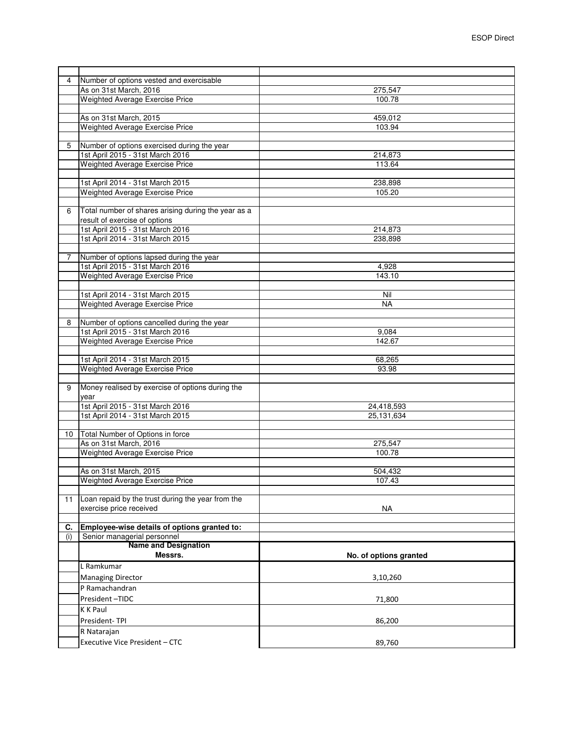| Number of options vested and exercisable<br>4<br>As on 31st March, 2016<br>275,547<br><b>Weighted Average Exercise Price</b><br>100.78<br>As on 31st March, 2015<br>459,012<br>Weighted Average Exercise Price<br>103.94<br>Number of options exercised during the year<br>5<br>1st April 2015 - 31st March 2016<br>214,873<br>Weighted Average Exercise Price<br>113.64<br>1st April 2014 - 31st March 2015<br>238,898<br>Weighted Average Exercise Price<br>105.20<br>Total number of shares arising during the year as a<br>6<br>result of exercise of options<br>1st April 2015 - 31st March 2016<br>214,873<br>1st April 2014 - 31st March 2015<br>238,898<br>Number of options lapsed during the year<br>7<br>1st April 2015 - 31st March 2016<br>4,928<br>Weighted Average Exercise Price<br>143.10<br>1st April 2014 - 31st March 2015<br>Nil<br>Weighted Average Exercise Price<br><b>NA</b><br>Number of options cancelled during the year<br>8<br>1st April 2015 - 31st March 2016<br>9,084<br>Weighted Average Exercise Price<br>142.67<br>1st April 2014 - 31st March 2015<br>68,265<br>Weighted Average Exercise Price<br>93.98<br>Money realised by exercise of options during the<br>9<br>year<br>1st April 2015 - 31st March 2016<br>24,418,593<br>1st April 2014 - 31st March 2015<br>25, 131, 634<br>Total Number of Options in force<br>10<br>As on 31st March, 2016<br>275,547<br>Weighted Average Exercise Price<br>100.78<br>As on 31st March, 2015<br>504,432<br>Weighted Average Exercise Price<br>107.43<br>Loan repaid by the trust during the year from the<br>11<br>exercise price received<br>NA<br>Employee-wise details of options granted to:<br>С.<br>Senior managerial personnel<br>(i)<br><b>Name and Designation</b><br>Messrs.<br>No. of options granted<br>L Ramkumar<br><b>Managing Director</b><br>3,10,260<br>P Ramachandran<br>President-TIDC<br>71,800<br>K K Paul<br>President-TPI<br>86,200<br>R Natarajan<br>Executive Vice President - CTC<br>89,760 |  |  |
|------------------------------------------------------------------------------------------------------------------------------------------------------------------------------------------------------------------------------------------------------------------------------------------------------------------------------------------------------------------------------------------------------------------------------------------------------------------------------------------------------------------------------------------------------------------------------------------------------------------------------------------------------------------------------------------------------------------------------------------------------------------------------------------------------------------------------------------------------------------------------------------------------------------------------------------------------------------------------------------------------------------------------------------------------------------------------------------------------------------------------------------------------------------------------------------------------------------------------------------------------------------------------------------------------------------------------------------------------------------------------------------------------------------------------------------------------------------------------------------------------------------------------------------------------------------------------------------------------------------------------------------------------------------------------------------------------------------------------------------------------------------------------------------------------------------------------------------------------------------------------------------------------------------------------------------------------------------------------------------------------|--|--|
|                                                                                                                                                                                                                                                                                                                                                                                                                                                                                                                                                                                                                                                                                                                                                                                                                                                                                                                                                                                                                                                                                                                                                                                                                                                                                                                                                                                                                                                                                                                                                                                                                                                                                                                                                                                                                                                                                                                                                                                                      |  |  |
|                                                                                                                                                                                                                                                                                                                                                                                                                                                                                                                                                                                                                                                                                                                                                                                                                                                                                                                                                                                                                                                                                                                                                                                                                                                                                                                                                                                                                                                                                                                                                                                                                                                                                                                                                                                                                                                                                                                                                                                                      |  |  |
|                                                                                                                                                                                                                                                                                                                                                                                                                                                                                                                                                                                                                                                                                                                                                                                                                                                                                                                                                                                                                                                                                                                                                                                                                                                                                                                                                                                                                                                                                                                                                                                                                                                                                                                                                                                                                                                                                                                                                                                                      |  |  |
|                                                                                                                                                                                                                                                                                                                                                                                                                                                                                                                                                                                                                                                                                                                                                                                                                                                                                                                                                                                                                                                                                                                                                                                                                                                                                                                                                                                                                                                                                                                                                                                                                                                                                                                                                                                                                                                                                                                                                                                                      |  |  |
|                                                                                                                                                                                                                                                                                                                                                                                                                                                                                                                                                                                                                                                                                                                                                                                                                                                                                                                                                                                                                                                                                                                                                                                                                                                                                                                                                                                                                                                                                                                                                                                                                                                                                                                                                                                                                                                                                                                                                                                                      |  |  |
|                                                                                                                                                                                                                                                                                                                                                                                                                                                                                                                                                                                                                                                                                                                                                                                                                                                                                                                                                                                                                                                                                                                                                                                                                                                                                                                                                                                                                                                                                                                                                                                                                                                                                                                                                                                                                                                                                                                                                                                                      |  |  |
|                                                                                                                                                                                                                                                                                                                                                                                                                                                                                                                                                                                                                                                                                                                                                                                                                                                                                                                                                                                                                                                                                                                                                                                                                                                                                                                                                                                                                                                                                                                                                                                                                                                                                                                                                                                                                                                                                                                                                                                                      |  |  |
|                                                                                                                                                                                                                                                                                                                                                                                                                                                                                                                                                                                                                                                                                                                                                                                                                                                                                                                                                                                                                                                                                                                                                                                                                                                                                                                                                                                                                                                                                                                                                                                                                                                                                                                                                                                                                                                                                                                                                                                                      |  |  |
|                                                                                                                                                                                                                                                                                                                                                                                                                                                                                                                                                                                                                                                                                                                                                                                                                                                                                                                                                                                                                                                                                                                                                                                                                                                                                                                                                                                                                                                                                                                                                                                                                                                                                                                                                                                                                                                                                                                                                                                                      |  |  |
|                                                                                                                                                                                                                                                                                                                                                                                                                                                                                                                                                                                                                                                                                                                                                                                                                                                                                                                                                                                                                                                                                                                                                                                                                                                                                                                                                                                                                                                                                                                                                                                                                                                                                                                                                                                                                                                                                                                                                                                                      |  |  |
|                                                                                                                                                                                                                                                                                                                                                                                                                                                                                                                                                                                                                                                                                                                                                                                                                                                                                                                                                                                                                                                                                                                                                                                                                                                                                                                                                                                                                                                                                                                                                                                                                                                                                                                                                                                                                                                                                                                                                                                                      |  |  |
|                                                                                                                                                                                                                                                                                                                                                                                                                                                                                                                                                                                                                                                                                                                                                                                                                                                                                                                                                                                                                                                                                                                                                                                                                                                                                                                                                                                                                                                                                                                                                                                                                                                                                                                                                                                                                                                                                                                                                                                                      |  |  |
|                                                                                                                                                                                                                                                                                                                                                                                                                                                                                                                                                                                                                                                                                                                                                                                                                                                                                                                                                                                                                                                                                                                                                                                                                                                                                                                                                                                                                                                                                                                                                                                                                                                                                                                                                                                                                                                                                                                                                                                                      |  |  |
|                                                                                                                                                                                                                                                                                                                                                                                                                                                                                                                                                                                                                                                                                                                                                                                                                                                                                                                                                                                                                                                                                                                                                                                                                                                                                                                                                                                                                                                                                                                                                                                                                                                                                                                                                                                                                                                                                                                                                                                                      |  |  |
|                                                                                                                                                                                                                                                                                                                                                                                                                                                                                                                                                                                                                                                                                                                                                                                                                                                                                                                                                                                                                                                                                                                                                                                                                                                                                                                                                                                                                                                                                                                                                                                                                                                                                                                                                                                                                                                                                                                                                                                                      |  |  |
|                                                                                                                                                                                                                                                                                                                                                                                                                                                                                                                                                                                                                                                                                                                                                                                                                                                                                                                                                                                                                                                                                                                                                                                                                                                                                                                                                                                                                                                                                                                                                                                                                                                                                                                                                                                                                                                                                                                                                                                                      |  |  |
|                                                                                                                                                                                                                                                                                                                                                                                                                                                                                                                                                                                                                                                                                                                                                                                                                                                                                                                                                                                                                                                                                                                                                                                                                                                                                                                                                                                                                                                                                                                                                                                                                                                                                                                                                                                                                                                                                                                                                                                                      |  |  |
|                                                                                                                                                                                                                                                                                                                                                                                                                                                                                                                                                                                                                                                                                                                                                                                                                                                                                                                                                                                                                                                                                                                                                                                                                                                                                                                                                                                                                                                                                                                                                                                                                                                                                                                                                                                                                                                                                                                                                                                                      |  |  |
|                                                                                                                                                                                                                                                                                                                                                                                                                                                                                                                                                                                                                                                                                                                                                                                                                                                                                                                                                                                                                                                                                                                                                                                                                                                                                                                                                                                                                                                                                                                                                                                                                                                                                                                                                                                                                                                                                                                                                                                                      |  |  |
|                                                                                                                                                                                                                                                                                                                                                                                                                                                                                                                                                                                                                                                                                                                                                                                                                                                                                                                                                                                                                                                                                                                                                                                                                                                                                                                                                                                                                                                                                                                                                                                                                                                                                                                                                                                                                                                                                                                                                                                                      |  |  |
|                                                                                                                                                                                                                                                                                                                                                                                                                                                                                                                                                                                                                                                                                                                                                                                                                                                                                                                                                                                                                                                                                                                                                                                                                                                                                                                                                                                                                                                                                                                                                                                                                                                                                                                                                                                                                                                                                                                                                                                                      |  |  |
|                                                                                                                                                                                                                                                                                                                                                                                                                                                                                                                                                                                                                                                                                                                                                                                                                                                                                                                                                                                                                                                                                                                                                                                                                                                                                                                                                                                                                                                                                                                                                                                                                                                                                                                                                                                                                                                                                                                                                                                                      |  |  |
|                                                                                                                                                                                                                                                                                                                                                                                                                                                                                                                                                                                                                                                                                                                                                                                                                                                                                                                                                                                                                                                                                                                                                                                                                                                                                                                                                                                                                                                                                                                                                                                                                                                                                                                                                                                                                                                                                                                                                                                                      |  |  |
|                                                                                                                                                                                                                                                                                                                                                                                                                                                                                                                                                                                                                                                                                                                                                                                                                                                                                                                                                                                                                                                                                                                                                                                                                                                                                                                                                                                                                                                                                                                                                                                                                                                                                                                                                                                                                                                                                                                                                                                                      |  |  |
|                                                                                                                                                                                                                                                                                                                                                                                                                                                                                                                                                                                                                                                                                                                                                                                                                                                                                                                                                                                                                                                                                                                                                                                                                                                                                                                                                                                                                                                                                                                                                                                                                                                                                                                                                                                                                                                                                                                                                                                                      |  |  |
|                                                                                                                                                                                                                                                                                                                                                                                                                                                                                                                                                                                                                                                                                                                                                                                                                                                                                                                                                                                                                                                                                                                                                                                                                                                                                                                                                                                                                                                                                                                                                                                                                                                                                                                                                                                                                                                                                                                                                                                                      |  |  |
|                                                                                                                                                                                                                                                                                                                                                                                                                                                                                                                                                                                                                                                                                                                                                                                                                                                                                                                                                                                                                                                                                                                                                                                                                                                                                                                                                                                                                                                                                                                                                                                                                                                                                                                                                                                                                                                                                                                                                                                                      |  |  |
|                                                                                                                                                                                                                                                                                                                                                                                                                                                                                                                                                                                                                                                                                                                                                                                                                                                                                                                                                                                                                                                                                                                                                                                                                                                                                                                                                                                                                                                                                                                                                                                                                                                                                                                                                                                                                                                                                                                                                                                                      |  |  |
|                                                                                                                                                                                                                                                                                                                                                                                                                                                                                                                                                                                                                                                                                                                                                                                                                                                                                                                                                                                                                                                                                                                                                                                                                                                                                                                                                                                                                                                                                                                                                                                                                                                                                                                                                                                                                                                                                                                                                                                                      |  |  |
|                                                                                                                                                                                                                                                                                                                                                                                                                                                                                                                                                                                                                                                                                                                                                                                                                                                                                                                                                                                                                                                                                                                                                                                                                                                                                                                                                                                                                                                                                                                                                                                                                                                                                                                                                                                                                                                                                                                                                                                                      |  |  |
|                                                                                                                                                                                                                                                                                                                                                                                                                                                                                                                                                                                                                                                                                                                                                                                                                                                                                                                                                                                                                                                                                                                                                                                                                                                                                                                                                                                                                                                                                                                                                                                                                                                                                                                                                                                                                                                                                                                                                                                                      |  |  |
|                                                                                                                                                                                                                                                                                                                                                                                                                                                                                                                                                                                                                                                                                                                                                                                                                                                                                                                                                                                                                                                                                                                                                                                                                                                                                                                                                                                                                                                                                                                                                                                                                                                                                                                                                                                                                                                                                                                                                                                                      |  |  |
|                                                                                                                                                                                                                                                                                                                                                                                                                                                                                                                                                                                                                                                                                                                                                                                                                                                                                                                                                                                                                                                                                                                                                                                                                                                                                                                                                                                                                                                                                                                                                                                                                                                                                                                                                                                                                                                                                                                                                                                                      |  |  |
|                                                                                                                                                                                                                                                                                                                                                                                                                                                                                                                                                                                                                                                                                                                                                                                                                                                                                                                                                                                                                                                                                                                                                                                                                                                                                                                                                                                                                                                                                                                                                                                                                                                                                                                                                                                                                                                                                                                                                                                                      |  |  |
|                                                                                                                                                                                                                                                                                                                                                                                                                                                                                                                                                                                                                                                                                                                                                                                                                                                                                                                                                                                                                                                                                                                                                                                                                                                                                                                                                                                                                                                                                                                                                                                                                                                                                                                                                                                                                                                                                                                                                                                                      |  |  |
|                                                                                                                                                                                                                                                                                                                                                                                                                                                                                                                                                                                                                                                                                                                                                                                                                                                                                                                                                                                                                                                                                                                                                                                                                                                                                                                                                                                                                                                                                                                                                                                                                                                                                                                                                                                                                                                                                                                                                                                                      |  |  |
|                                                                                                                                                                                                                                                                                                                                                                                                                                                                                                                                                                                                                                                                                                                                                                                                                                                                                                                                                                                                                                                                                                                                                                                                                                                                                                                                                                                                                                                                                                                                                                                                                                                                                                                                                                                                                                                                                                                                                                                                      |  |  |
|                                                                                                                                                                                                                                                                                                                                                                                                                                                                                                                                                                                                                                                                                                                                                                                                                                                                                                                                                                                                                                                                                                                                                                                                                                                                                                                                                                                                                                                                                                                                                                                                                                                                                                                                                                                                                                                                                                                                                                                                      |  |  |
|                                                                                                                                                                                                                                                                                                                                                                                                                                                                                                                                                                                                                                                                                                                                                                                                                                                                                                                                                                                                                                                                                                                                                                                                                                                                                                                                                                                                                                                                                                                                                                                                                                                                                                                                                                                                                                                                                                                                                                                                      |  |  |
|                                                                                                                                                                                                                                                                                                                                                                                                                                                                                                                                                                                                                                                                                                                                                                                                                                                                                                                                                                                                                                                                                                                                                                                                                                                                                                                                                                                                                                                                                                                                                                                                                                                                                                                                                                                                                                                                                                                                                                                                      |  |  |
|                                                                                                                                                                                                                                                                                                                                                                                                                                                                                                                                                                                                                                                                                                                                                                                                                                                                                                                                                                                                                                                                                                                                                                                                                                                                                                                                                                                                                                                                                                                                                                                                                                                                                                                                                                                                                                                                                                                                                                                                      |  |  |
|                                                                                                                                                                                                                                                                                                                                                                                                                                                                                                                                                                                                                                                                                                                                                                                                                                                                                                                                                                                                                                                                                                                                                                                                                                                                                                                                                                                                                                                                                                                                                                                                                                                                                                                                                                                                                                                                                                                                                                                                      |  |  |
|                                                                                                                                                                                                                                                                                                                                                                                                                                                                                                                                                                                                                                                                                                                                                                                                                                                                                                                                                                                                                                                                                                                                                                                                                                                                                                                                                                                                                                                                                                                                                                                                                                                                                                                                                                                                                                                                                                                                                                                                      |  |  |
|                                                                                                                                                                                                                                                                                                                                                                                                                                                                                                                                                                                                                                                                                                                                                                                                                                                                                                                                                                                                                                                                                                                                                                                                                                                                                                                                                                                                                                                                                                                                                                                                                                                                                                                                                                                                                                                                                                                                                                                                      |  |  |
|                                                                                                                                                                                                                                                                                                                                                                                                                                                                                                                                                                                                                                                                                                                                                                                                                                                                                                                                                                                                                                                                                                                                                                                                                                                                                                                                                                                                                                                                                                                                                                                                                                                                                                                                                                                                                                                                                                                                                                                                      |  |  |
|                                                                                                                                                                                                                                                                                                                                                                                                                                                                                                                                                                                                                                                                                                                                                                                                                                                                                                                                                                                                                                                                                                                                                                                                                                                                                                                                                                                                                                                                                                                                                                                                                                                                                                                                                                                                                                                                                                                                                                                                      |  |  |
|                                                                                                                                                                                                                                                                                                                                                                                                                                                                                                                                                                                                                                                                                                                                                                                                                                                                                                                                                                                                                                                                                                                                                                                                                                                                                                                                                                                                                                                                                                                                                                                                                                                                                                                                                                                                                                                                                                                                                                                                      |  |  |
|                                                                                                                                                                                                                                                                                                                                                                                                                                                                                                                                                                                                                                                                                                                                                                                                                                                                                                                                                                                                                                                                                                                                                                                                                                                                                                                                                                                                                                                                                                                                                                                                                                                                                                                                                                                                                                                                                                                                                                                                      |  |  |
|                                                                                                                                                                                                                                                                                                                                                                                                                                                                                                                                                                                                                                                                                                                                                                                                                                                                                                                                                                                                                                                                                                                                                                                                                                                                                                                                                                                                                                                                                                                                                                                                                                                                                                                                                                                                                                                                                                                                                                                                      |  |  |
|                                                                                                                                                                                                                                                                                                                                                                                                                                                                                                                                                                                                                                                                                                                                                                                                                                                                                                                                                                                                                                                                                                                                                                                                                                                                                                                                                                                                                                                                                                                                                                                                                                                                                                                                                                                                                                                                                                                                                                                                      |  |  |
|                                                                                                                                                                                                                                                                                                                                                                                                                                                                                                                                                                                                                                                                                                                                                                                                                                                                                                                                                                                                                                                                                                                                                                                                                                                                                                                                                                                                                                                                                                                                                                                                                                                                                                                                                                                                                                                                                                                                                                                                      |  |  |
|                                                                                                                                                                                                                                                                                                                                                                                                                                                                                                                                                                                                                                                                                                                                                                                                                                                                                                                                                                                                                                                                                                                                                                                                                                                                                                                                                                                                                                                                                                                                                                                                                                                                                                                                                                                                                                                                                                                                                                                                      |  |  |
|                                                                                                                                                                                                                                                                                                                                                                                                                                                                                                                                                                                                                                                                                                                                                                                                                                                                                                                                                                                                                                                                                                                                                                                                                                                                                                                                                                                                                                                                                                                                                                                                                                                                                                                                                                                                                                                                                                                                                                                                      |  |  |
|                                                                                                                                                                                                                                                                                                                                                                                                                                                                                                                                                                                                                                                                                                                                                                                                                                                                                                                                                                                                                                                                                                                                                                                                                                                                                                                                                                                                                                                                                                                                                                                                                                                                                                                                                                                                                                                                                                                                                                                                      |  |  |
|                                                                                                                                                                                                                                                                                                                                                                                                                                                                                                                                                                                                                                                                                                                                                                                                                                                                                                                                                                                                                                                                                                                                                                                                                                                                                                                                                                                                                                                                                                                                                                                                                                                                                                                                                                                                                                                                                                                                                                                                      |  |  |
|                                                                                                                                                                                                                                                                                                                                                                                                                                                                                                                                                                                                                                                                                                                                                                                                                                                                                                                                                                                                                                                                                                                                                                                                                                                                                                                                                                                                                                                                                                                                                                                                                                                                                                                                                                                                                                                                                                                                                                                                      |  |  |
|                                                                                                                                                                                                                                                                                                                                                                                                                                                                                                                                                                                                                                                                                                                                                                                                                                                                                                                                                                                                                                                                                                                                                                                                                                                                                                                                                                                                                                                                                                                                                                                                                                                                                                                                                                                                                                                                                                                                                                                                      |  |  |
|                                                                                                                                                                                                                                                                                                                                                                                                                                                                                                                                                                                                                                                                                                                                                                                                                                                                                                                                                                                                                                                                                                                                                                                                                                                                                                                                                                                                                                                                                                                                                                                                                                                                                                                                                                                                                                                                                                                                                                                                      |  |  |
|                                                                                                                                                                                                                                                                                                                                                                                                                                                                                                                                                                                                                                                                                                                                                                                                                                                                                                                                                                                                                                                                                                                                                                                                                                                                                                                                                                                                                                                                                                                                                                                                                                                                                                                                                                                                                                                                                                                                                                                                      |  |  |
|                                                                                                                                                                                                                                                                                                                                                                                                                                                                                                                                                                                                                                                                                                                                                                                                                                                                                                                                                                                                                                                                                                                                                                                                                                                                                                                                                                                                                                                                                                                                                                                                                                                                                                                                                                                                                                                                                                                                                                                                      |  |  |
|                                                                                                                                                                                                                                                                                                                                                                                                                                                                                                                                                                                                                                                                                                                                                                                                                                                                                                                                                                                                                                                                                                                                                                                                                                                                                                                                                                                                                                                                                                                                                                                                                                                                                                                                                                                                                                                                                                                                                                                                      |  |  |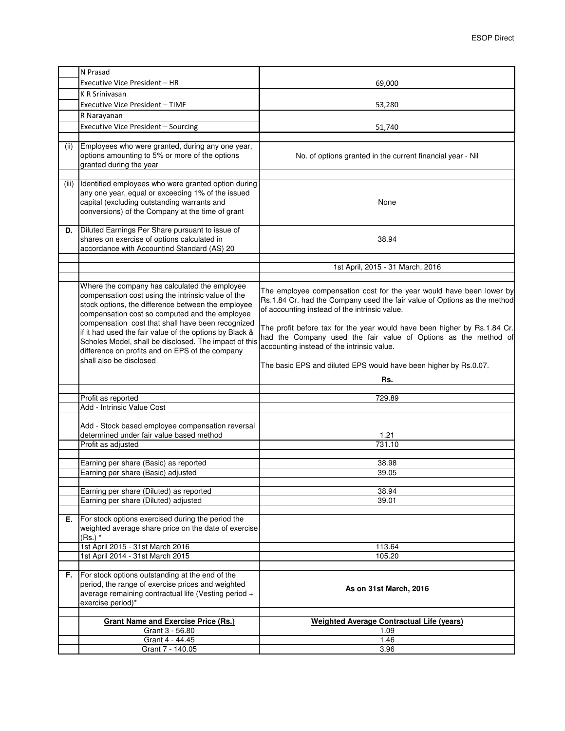|       | N Prasad                                                                                                                                                                                                                                                         |                                                                                                                                                                                                                                                                               |
|-------|------------------------------------------------------------------------------------------------------------------------------------------------------------------------------------------------------------------------------------------------------------------|-------------------------------------------------------------------------------------------------------------------------------------------------------------------------------------------------------------------------------------------------------------------------------|
|       | Executive Vice President - HR                                                                                                                                                                                                                                    | 69,000                                                                                                                                                                                                                                                                        |
|       | <b>K R Srinivasan</b>                                                                                                                                                                                                                                            |                                                                                                                                                                                                                                                                               |
|       | Executive Vice President - TIMF                                                                                                                                                                                                                                  | 53,280                                                                                                                                                                                                                                                                        |
|       | R Narayanan                                                                                                                                                                                                                                                      |                                                                                                                                                                                                                                                                               |
|       | Executive Vice President - Sourcing                                                                                                                                                                                                                              | 51,740                                                                                                                                                                                                                                                                        |
|       |                                                                                                                                                                                                                                                                  |                                                                                                                                                                                                                                                                               |
| (ii)  | Employees who were granted, during any one year,<br>options amounting to 5% or more of the options<br>granted during the year                                                                                                                                    | No. of options granted in the current financial year - Nil                                                                                                                                                                                                                    |
| (iii) | Identified employees who were granted option during<br>any one year, equal or exceeding 1% of the issued<br>capital (excluding outstanding warrants and<br>conversions) of the Company at the time of grant                                                      | None                                                                                                                                                                                                                                                                          |
| D.    | Diluted Earnings Per Share pursuant to issue of<br>shares on exercise of options calculated in<br>accordance with Accountind Standard (AS) 20                                                                                                                    | 38.94                                                                                                                                                                                                                                                                         |
|       |                                                                                                                                                                                                                                                                  | 1st April, 2015 - 31 March, 2016                                                                                                                                                                                                                                              |
|       |                                                                                                                                                                                                                                                                  |                                                                                                                                                                                                                                                                               |
|       | Where the company has calculated the employee<br>compensation cost using the intrinsic value of the<br>stock options, the difference between the employee<br>compensation cost so computed and the employee<br>compensation cost that shall have been recognized | The employee compensation cost for the year would have been lower by<br>Rs.1.84 Cr. had the Company used the fair value of Options as the method<br>of accounting instead of the intrinsic value.<br>The profit before tax for the year would have been higher by Rs.1.84 Cr. |
|       | if it had used the fair value of the options by Black &<br>Scholes Model, shall be disclosed. The impact of this<br>difference on profits and on EPS of the company<br>shall also be disclosed                                                                   | had the Company used the fair value of Options as the method of<br>accounting instead of the intrinsic value.                                                                                                                                                                 |
|       |                                                                                                                                                                                                                                                                  | The basic EPS and diluted EPS would have been higher by Rs.0.07.                                                                                                                                                                                                              |
|       |                                                                                                                                                                                                                                                                  | Rs.                                                                                                                                                                                                                                                                           |
|       |                                                                                                                                                                                                                                                                  |                                                                                                                                                                                                                                                                               |
|       | Profit as reported<br>Add - Intrinsic Value Cost                                                                                                                                                                                                                 | 729.89                                                                                                                                                                                                                                                                        |
|       | Add - Stock based employee compensation reversal<br>determined under fair value based method<br>Profit as adjusted                                                                                                                                               | 1.21<br>731.10                                                                                                                                                                                                                                                                |
|       | Earning per share (Basic) as reported                                                                                                                                                                                                                            | 38.98                                                                                                                                                                                                                                                                         |
|       | Earning per share (Basic) adjusted                                                                                                                                                                                                                               | 39.05                                                                                                                                                                                                                                                                         |
|       |                                                                                                                                                                                                                                                                  |                                                                                                                                                                                                                                                                               |
|       | Earning per share (Diluted) as reported                                                                                                                                                                                                                          | 38.94                                                                                                                                                                                                                                                                         |
|       | Earning per share (Diluted) adjusted                                                                                                                                                                                                                             | 39.01                                                                                                                                                                                                                                                                         |
| Е.    | For stock options exercised during the period the<br>weighted average share price on the date of exercise<br>$(Rs.)$ *                                                                                                                                           |                                                                                                                                                                                                                                                                               |
|       | 1st April 2015 - 31st March 2016<br>1st April 2014 - 31st March 2015                                                                                                                                                                                             | 113.64                                                                                                                                                                                                                                                                        |
|       |                                                                                                                                                                                                                                                                  | 105.20                                                                                                                                                                                                                                                                        |
| F.    | For stock options outstanding at the end of the<br>period, the range of exercise prices and weighted<br>average remaining contractual life (Vesting period +<br>exercise period)*                                                                                | As on 31st March, 2016                                                                                                                                                                                                                                                        |
|       | <b>Grant Name and Exercise Price (Rs.)</b>                                                                                                                                                                                                                       | <b>Weighted Average Contractual Life (years)</b>                                                                                                                                                                                                                              |
|       | Grant 3 - 56.80                                                                                                                                                                                                                                                  | 1.09                                                                                                                                                                                                                                                                          |
|       | Grant 4 - 44.45                                                                                                                                                                                                                                                  | 1.46                                                                                                                                                                                                                                                                          |
|       | Grant 7 - 140.05                                                                                                                                                                                                                                                 | 3.96                                                                                                                                                                                                                                                                          |